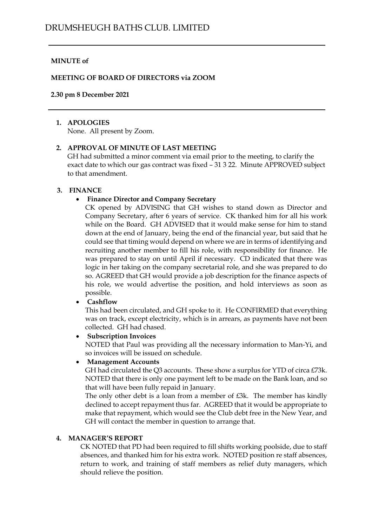## **MINUTE of**

#### **MEETING OF BOARD OF DIRECTORS via ZOOM**

#### **2.30 pm 8 December 2021**

#### **1. APOLOGIES**

None. All present by Zoom.

## **2. APPROVAL OF MINUTE OF LAST MEETING**

GH had submitted a minor comment via email prior to the meeting, to clarify the exact date to which our gas contract was fixed – 31 3 22. Minute APPROVED subject to that amendment.

#### **3. FINANCE**

#### • **Finance Director and Company Secretary**

CK opened by ADVISING that GH wishes to stand down as Director and Company Secretary, after 6 years of service. CK thanked him for all his work while on the Board. GH ADVISED that it would make sense for him to stand down at the end of January, being the end of the financial year, but said that he could see that timing would depend on where we are in terms of identifying and recruiting another member to fill his role, with responsibility for finance. He was prepared to stay on until April if necessary. CD indicated that there was logic in her taking on the company secretarial role, and she was prepared to do so. AGREED that GH would provide a job description for the finance aspects of his role, we would advertise the position, and hold interviews as soon as possible.

#### • **Cashflow**

This had been circulated, and GH spoke to it. He CONFIRMED that everything was on track, except electricity, which is in arrears, as payments have not been collected. GH had chased.

• **Subscription Invoices**

NOTED that Paul was providing all the necessary information to Man-Yi, and so invoices will be issued on schedule.

#### • **Management Accounts**

GH had circulated the Q3 accounts. These show a surplus for YTD of circa £73k. NOTED that there is only one payment left to be made on the Bank loan, and so that will have been fully repaid in January.

The only other debt is a loan from a member of £3k. The member has kindly declined to accept repayment thus far. AGREED that it would be appropriate to make that repayment, which would see the Club debt free in the New Year, and GH will contact the member in question to arrange that.

#### **4. MANAGER'S REPORT**

CK NOTED that PD had been required to fill shifts working poolside, due to staff absences, and thanked him for his extra work. NOTED position re staff absences, return to work, and training of staff members as relief duty managers, which should relieve the position.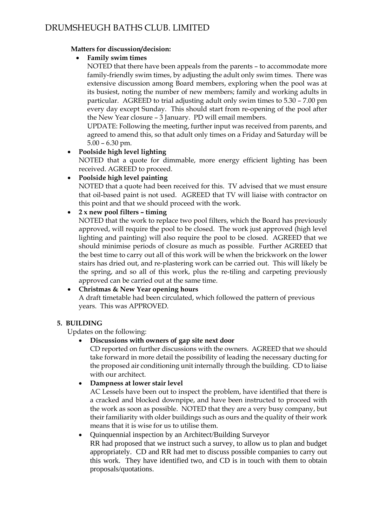## **Matters for discussion/decision:**

# • **Family swim times**

NOTED that there have been appeals from the parents – to accommodate more family-friendly swim times, by adjusting the adult only swim times. There was extensive discussion among Board members, exploring when the pool was at its busiest, noting the number of new members; family and working adults in particular. AGREED to trial adjusting adult only swim times to 5.30 – 7.00 pm every day except Sunday. This should start from re-opening of the pool after the New Year closure – 3 January. PD will email members.

UPDATE: Following the meeting, further input was received from parents, and agreed to amend this, so that adult only times on a Friday and Saturday will be 5.00 – 6.30 pm.

# • **Poolside high level lighting**

NOTED that a quote for dimmable, more energy efficient lighting has been received. AGREED to proceed.

# • **Poolside high level painting**

NOTED that a quote had been received for this. TV advised that we must ensure that oil-based paint is not used. AGREED that TV will liaise with contractor on this point and that we should proceed with the work.

# • **2 x new pool filters – timing**

NOTED that the work to replace two pool filters, which the Board has previously approved, will require the pool to be closed. The work just approved (high level lighting and painting) will also require the pool to be closed. AGREED that we should minimise periods of closure as much as possible. Further AGREED that the best time to carry out all of this work will be when the brickwork on the lower stairs has dried out, and re-plastering work can be carried out. This will likely be the spring, and so all of this work, plus the re-tiling and carpeting previously approved can be carried out at the same time.

# • **Christmas & New Year opening hours**

A draft timetable had been circulated, which followed the pattern of previous years. This was APPROVED.

## **5. BUILDING**

Updates on the following:

# • **Discussions with owners of gap site next door**

CD reported on further discussions with the owners. AGREED that we should take forward in more detail the possibility of leading the necessary ducting for the proposed air conditioning unit internally through the building. CD to liaise with our architect.

# • **Dampness at lower stair level**

AC Lessels have been out to inspect the problem, have identified that there is a cracked and blocked downpipe, and have been instructed to proceed with the work as soon as possible. NOTED that they are a very busy company, but their familiarity with older buildings such as ours and the quality of their work means that it is wise for us to utilise them.

## • Quinquennial inspection by an Architect/Building Surveyor

RR had proposed that we instruct such a survey, to allow us to plan and budget appropriately. CD and RR had met to discuss possible companies to carry out this work. They have identified two, and CD is in touch with them to obtain proposals/quotations.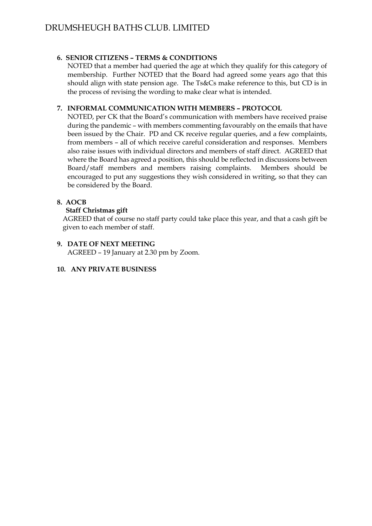## **6. SENIOR CITIZENS – TERMS & CONDITIONS**

NOTED that a member had queried the age at which they qualify for this category of membership. Further NOTED that the Board had agreed some years ago that this should align with state pension age. The Ts&Cs make reference to this, but CD is in the process of revising the wording to make clear what is intended.

## **7. INFORMAL COMMUNICATION WITH MEMBERS – PROTOCOL**

NOTED, per CK that the Board's communication with members have received praise during the pandemic – with members commenting favourably on the emails that have been issued by the Chair. PD and CK receive regular queries, and a few complaints, from members – all of which receive careful consideration and responses. Members also raise issues with individual directors and members of staff direct. AGREED that where the Board has agreed a position, this should be reflected in discussions between Board/staff members and members raising complaints. Members should be encouraged to put any suggestions they wish considered in writing, so that they can be considered by the Board.

## **8. AOCB**

## **Staff Christmas gift**

AGREED that of course no staff party could take place this year, and that a cash gift be given to each member of staff.

# **9. DATE OF NEXT MEETING**

AGREED – 19 January at 2.30 pm by Zoom.

## **10. ANY PRIVATE BUSINESS**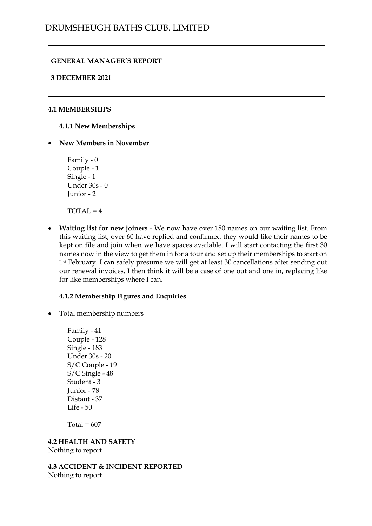## **GENERAL MANAGER'S REPORT**

#### **3 DECEMBER 2021**

#### **4.1 MEMBERSHIPS**

**4.1.1 New Memberships**

• **New Members in November**

Family - 0 Couple - 1 Single - 1 Under 30s - 0 Junior - 2

 $TOTAL = 4$ 

• **Waiting list for new joiners** - We now have over 180 names on our waiting list. From this waiting list, over 60 have replied and confirmed they would like their names to be kept on file and join when we have spaces available. I will start contacting the first 30 names now in the view to get them in for a tour and set up their memberships to start on 1<sup>st</sup> February. I can safely presume we will get at least 30 cancellations after sending out our renewal invoices. I then think it will be a case of one out and one in, replacing like for like memberships where I can.

#### **4.1.2 Membership Figures and Enquiries**

• Total membership numbers

Family - 41 Couple - 128 Single - 183 Under 30s - 20 S/C Couple - 19 S/C Single - 48 Student - 3 Junior - 78 Distant - 37 Life - 50

Total =  $607$ 

## **4.2 HEALTH AND SAFETY**

Nothing to report

**4.3 ACCIDENT & INCIDENT REPORTED** Nothing to report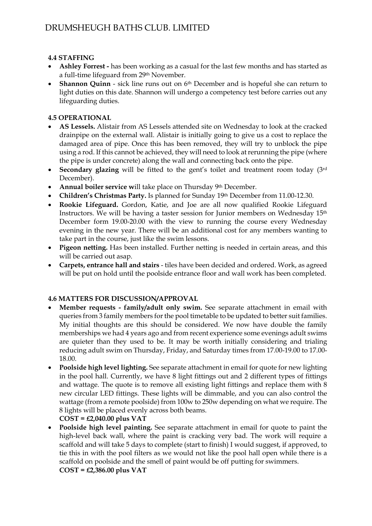# **4.4 STAFFING**

- **Ashley Forrest -** has been working as a casual for the last few months and has started as a full-time lifeguard from 29th November.
- **Shannon Quinn** sick line runs out on 6<sup>th</sup> December and is hopeful she can return to light duties on this date. Shannon will undergo a competency test before carries out any lifeguarding duties.

# **4.5 OPERATIONAL**

- **AS Lessels.** Alistair from AS Lessels attended site on Wednesday to look at the cracked drainpipe on the external wall. Alistair is initially going to give us a cost to replace the damaged area of pipe. Once this has been removed, they will try to unblock the pipe using a rod. If this cannot be achieved, they will need to look at rerunning the pipe (where the pipe is under concrete) along the wall and connecting back onto the pipe.
- **Secondary glazing** will be fitted to the gent's toilet and treatment room today (3rd December).
- **Annual boiler service w**ill take place on Thursday 9th December.
- **Children's Christmas Party.** Is planned for Sunday 19th December from 11.00-12.30.
- **Rookie Lifeguard.** Gordon, Katie, and Joe are all now qualified Rookie Lifeguard Instructors. We will be having a taster session for Junior members on Wednesday 15th December form 19.00-20.00 with the view to running the course every Wednesday evening in the new year. There will be an additional cost for any members wanting to take part in the course, just like the swim lessons.
- **Pigeon netting.** Has been installed. Further netting is needed in certain areas, and this will be carried out asap.
- **Carpets, entrance hall and stairs** tiles have been decided and ordered. Work, as agreed will be put on hold until the poolside entrance floor and wall work has been completed.

## **4.6 MATTERS FOR DISCUSSION/APPROVAL**

- **Member requests - family/adult only swim.** See separate attachment in email with queries from 3 family members for the pool timetable to be updated to better suit families. My initial thoughts are this should be considered. We now have double the family memberships we had 4 years ago and from recent experience some evenings adult swims are quieter than they used to be. It may be worth initially considering and trialing reducing adult swim on Thursday, Friday, and Saturday times from 17.00-19.00 to 17.00- 18.00.
- **Poolside high level lighting.** See separate attachment in email for quote for new lighting in the pool hall. Currently, we have 8 light fittings out and 2 different types of fittings and wattage. The quote is to remove all existing light fittings and replace them with 8 new circular LED fittings. These lights will be dimmable, and you can also control the wattage (from a remote poolside) from 100w to 250w depending on what we require. The 8 lights will be placed evenly across both beams.
	- **COST = £2,040.00 plus VAT**
- **Poolside high level painting.** See separate attachment in email for quote to paint the high-level back wall, where the paint is cracking very bad. The work will require a scaffold and will take 5 days to complete (start to finish) I would suggest, if approved, to tie this in with the pool filters as we would not like the pool hall open while there is a scaffold on poolside and the smell of paint would be off putting for swimmers.

**COST = £2,386.00 plus VAT**